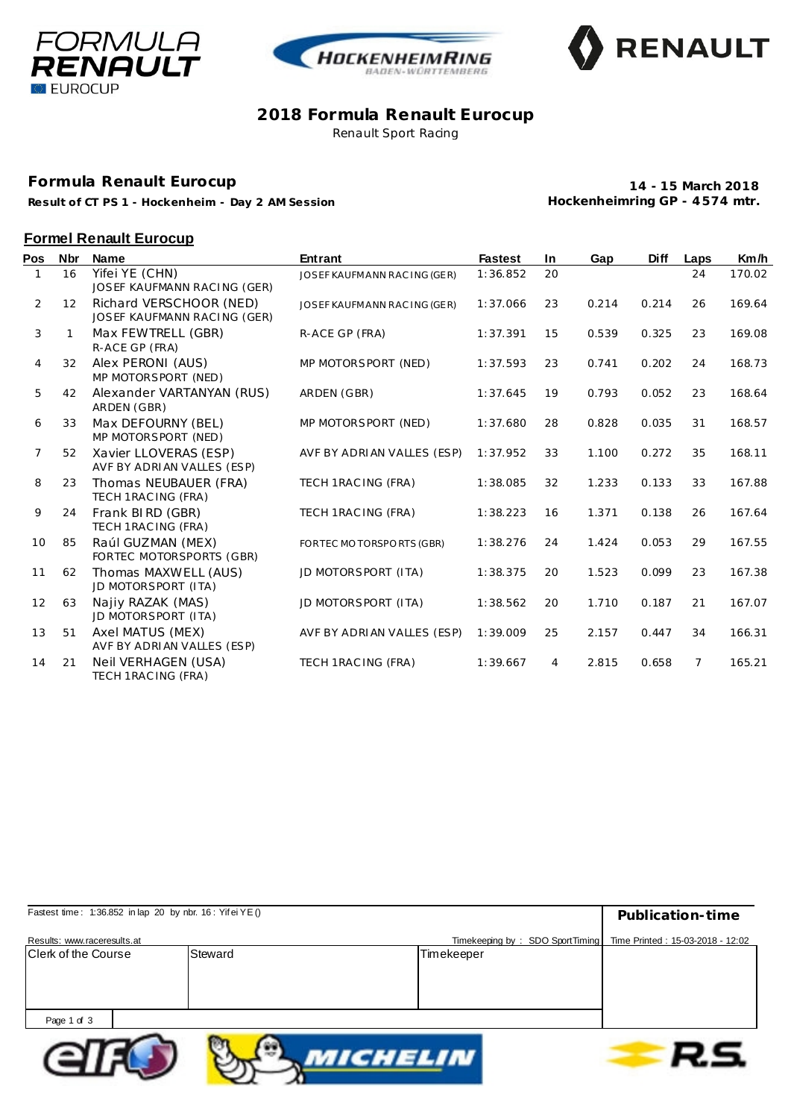





### **2018 Formula Renault Eurocup** Renault Sport Racing

#### **Formula Renault Eurocup**

**Result of CT PS 1 - Hockenheim - Day 2 AM Session**

**14 - 15 March 2018 Hockenheimring GP - 4 574 mtr.**

### **Formel Renault Eurocup**

| Pos            | <b>Nbr</b> | <b>Name</b>                                            | <b>Entrant</b>               | <b>Fastest</b> | In | Gap   | <b>Diff</b> | Laps           | Km/h   |
|----------------|------------|--------------------------------------------------------|------------------------------|----------------|----|-------|-------------|----------------|--------|
|                | 16         | Yifei YE (CHN)<br>JOSEF KAUFMANN RACING (GER)          | JOSEF KAUFMANN RAC ING (GER) | 1:36.852       | 20 |       |             | 24             | 170.02 |
| 2              | 12         | Richard VERSCHOOR (NED)<br>JOSEF KAUFMANN RACING (GER) | JOSEF KAUFMANN RAC ING (GER) | 1:37.066       | 23 | 0.214 | 0.214       | 26             | 169.64 |
| 3              | 1          | Max FEWTRELL (GBR)<br>R-ACE GP (FRA)                   | R-ACE GP (FRA)               | 1:37.391       | 15 | 0.539 | 0.325       | 23             | 169.08 |
| 4              | 32         | Alex PERONI (AUS)<br>MP MOTORSPORT (NED)               | MP MOTORSPORT (NED)          | 1:37.593       | 23 | 0.741 | 0.202       | 24             | 168.73 |
| 5              | 42         | Alexander VARTANYAN (RUS)<br>ARDEN (GBR)               | ARDEN (GBR)                  | 1:37.645       | 19 | 0.793 | 0.052       | 23             | 168.64 |
| 6              | 33         | Max DEFOURNY (BEL)<br>MP MOTORSPORT (NED)              | MP MOTORSPORT (NED)          | 1:37.680       | 28 | 0.828 | 0.035       | 31             | 168.57 |
| $\overline{7}$ | 52         | Xavier LLOVERAS (ESP)<br>AVF BY ADRIAN VALLES (ESP)    | AVF BY ADRIAN VALLES (ESP)   | 1:37.952       | 33 | 1.100 | 0.272       | 35             | 168.11 |
| 8              | 23         | Thomas NEUBAUER (FRA)<br>TECH 1RAC ING (FRA)           | TECH 1RAC ING (FRA)          | 1:38.085       | 32 | 1.233 | 0.133       | 33             | 167.88 |
| 9              | 24         | Frank BIRD (GBR)<br>TECH 1RAC ING (FRA)                | TECH 1RAC ING (FRA)          | 1:38.223       | 16 | 1.371 | 0.138       | 26             | 167.64 |
| 10             | 85         | Raúl GUZMAN (MEX)<br>FORTEC MOTORSPORTS (GBR)          | FORTEC MOTORSPORTS (GBR)     | 1:38.276       | 24 | 1.424 | 0.053       | 29             | 167.55 |
| 11             | 62         | Thomas MAXWELL (AUS)<br>JD MOTORSPORT (ITA)            | JD MOTORSPORT (ITA)          | 1:38.375       | 20 | 1.523 | 0.099       | 23             | 167.38 |
| 12             | 63         | Najiy RAZAK (MAS)<br>JD MOTORSPORT (ITA)               | JD MOTORSPORT (ITA)          | 1:38.562       | 20 | 1.710 | 0.187       | 21             | 167.07 |
| 13             | 51         | Axel MATUS (MEX)<br>AVF BY ADRIAN VALLES (ESP)         | AVF BY ADRIAN VALLES (ESP)   | 1:39.009       | 25 | 2.157 | 0.447       | 34             | 166.31 |
| 14             | 21         | Neil VERHAGEN (USA)<br>TECH 1RAC ING (FRA)             | TECH 1RAC ING (FRA)          | 1:39.667       | 4  | 2.815 | 0.658       | $\overline{7}$ | 165.21 |

| Fastest time: 1:36.852 in lap 20 by nbr. 16: Yifei YE() | Publication-time |                                                                    |  |
|---------------------------------------------------------|------------------|--------------------------------------------------------------------|--|
| Results: www.raceresults.at                             |                  | Timekeeping by: SDO SportTiming   Time Printed: 15-03-2018 - 12:02 |  |
| <b>Clerk of the Course</b>                              | Steward          | Timekeeper                                                         |  |
|                                                         |                  |                                                                    |  |
|                                                         |                  |                                                                    |  |
|                                                         |                  |                                                                    |  |
| Page 1 of 3                                             |                  |                                                                    |  |
|                                                         |                  |                                                                    |  |



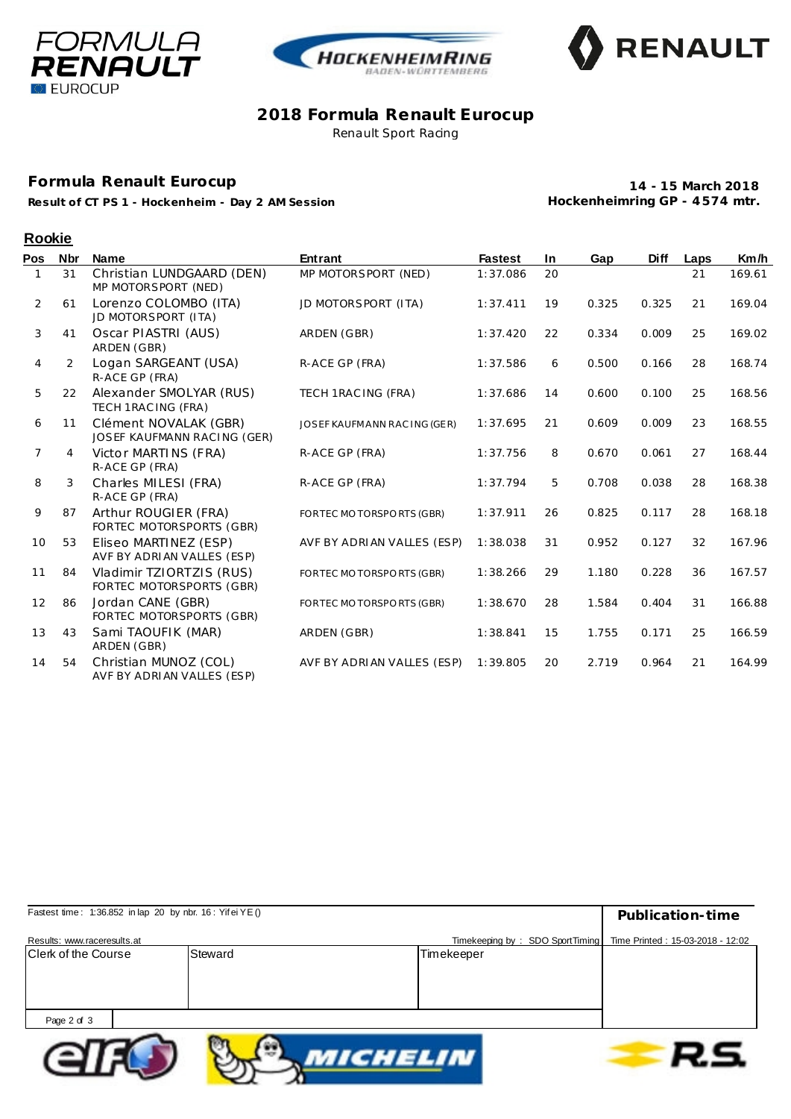





### **2018 Formula Renault Eurocup** Renault Sport Racing

# **Formula Renault Eurocup**

**Result of CT PS 1 - Hockenheim - Day 2 AM Session**

**14 - 15 March 2018 Hockenheimring GP - 4 574 mtr.**

## **Rookie**

| Pos            | <b>Nbr</b> | <b>Name</b>                                          | <b>Entrant</b>               | <b>Fastest</b> | <b>In</b> | Gap   | <b>Diff</b> | Laps | Km/h   |
|----------------|------------|------------------------------------------------------|------------------------------|----------------|-----------|-------|-------------|------|--------|
|                | 31         | Christian LUNDGAARD (DEN)<br>MP MOTORSPORT (NED)     | MP MOTORSPORT (NED)          | 1:37.086       | 20        |       |             | 21   | 169.61 |
| $\overline{2}$ | 61         | Lorenzo COLOMBO (ITA)<br>JD MOTORSPORT (ITA)         | JD MOTORSPORT (ITA)          | 1:37.411       | 19        | 0.325 | 0.325       | 21   | 169.04 |
| 3              | 41         | Oscar PIASTRI (AUS)<br>ARDEN (GBR)                   | ARDEN (GBR)                  | 1:37.420       | 22        | 0.334 | 0.009       | 25   | 169.02 |
| 4              | 2          | Logan SARGEANT (USA)<br>R-ACE GP (FRA)               | R-ACE GP (FRA)               | 1:37.586       | 6         | 0.500 | 0.166       | 28   | 168.74 |
| 5              | 22         | Alexander SMOLYAR (RUS)<br>TECH 1RAC ING (FRA)       | TECH 1RAC ING (FRA)          | 1:37.686       | 14        | 0.600 | 0.100       | 25   | 168.56 |
| 6              | 11         | Clément NOVALAK (GBR)<br>JOSEF KAUFMANN RACING (GER) | JOSEF KAUFMANN RAC ING (GER) | 1:37.695       | 21        | 0.609 | 0.009       | 23   | 168.55 |
| $\overline{7}$ | 4          | Victor MARTINS (FRA)<br>R-ACE GP (FRA)               | R-ACE GP (FRA)               | 1:37.756       | 8         | 0.670 | 0.061       | 27   | 168.44 |
| 8              | 3          | Charles MILESI (FRA)<br>R-ACE GP (FRA)               | R-ACE GP (FRA)               | 1:37.794       | 5         | 0.708 | 0.038       | 28   | 168.38 |
| 9              | 87         | Arthur ROUGIER (FRA)<br>FORTEC MOTORSPORTS (GBR)     | FORTEC MOTORSPORTS (GBR)     | 1:37.911       | 26        | 0.825 | 0.117       | 28   | 168.18 |
| 10             | 53         | Eliseo MARTINEZ (ESP)<br>AVF BY ADRIAN VALLES (ESP)  | AVF BY ADRIAN VALLES (ESP)   | 1:38.038       | 31        | 0.952 | 0.127       | 32   | 167.96 |
| 11             | 84         | Vladimir TZIORTZIS (RUS)<br>FORTEC MOTORSPORTS (GBR) | FORTEC MOTORSPORTS (GBR)     | 1:38.266       | 29        | 1.180 | 0.228       | 36   | 167.57 |
| 12             | 86         | Jordan CANE (GBR)<br>FORTEC MOTORSPORTS (GBR)        | FORTEC MOTORSPORTS (GBR)     | 1:38.670       | 28        | 1.584 | 0.404       | 31   | 166.88 |
| 13             | 43         | Sami TAOUFIK (MAR)<br>ARDEN (GBR)                    | ARDEN (GBR)                  | 1:38.841       | 15        | 1.755 | 0.171       | 25   | 166.59 |
| 14             | 54         | Christian MUNOZ (COL)<br>AVF BY ADRIAN VALLES (ESP)  | AVF BY ADRIAN VALLES (ESP)   | 1:39.805       | 20        | 2.719 | 0.964       | 21   | 164.99 |

| Fastest time: 1:36.852 in lap 20 by nbr. 16: Yifei YE() |         |                                                                    | Publication-time |
|---------------------------------------------------------|---------|--------------------------------------------------------------------|------------------|
| Results: www.raceresults.at                             |         | Timekeeping by: SDO SportTiming   Time Printed: 15-03-2018 - 12:02 |                  |
| <b>Clerk of the Course</b>                              | Steward | Timekeeper                                                         |                  |
|                                                         |         |                                                                    |                  |
|                                                         |         |                                                                    |                  |
|                                                         |         |                                                                    |                  |
| Page 2 of 3                                             |         |                                                                    |                  |
|                                                         |         |                                                                    |                  |